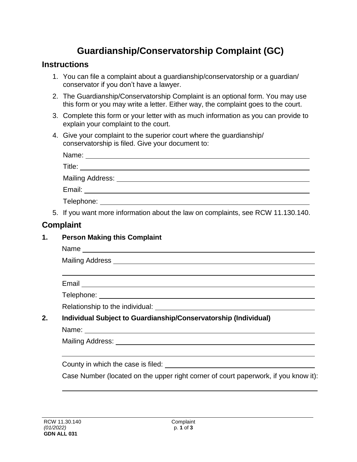# **Guardianship/Conservatorship Complaint (GC)**

#### **Instructions**

- 1. You can file a complaint about a guardianship/conservatorship or a guardian/ conservator if you don't have a lawyer.
- 2. The Guardianship/Conservatorship Complaint is an optional form. You may use this form or you may write a letter. Either way, the complaint goes to the court.
- 3. Complete this form or your letter with as much information as you can provide to explain your complaint to the court.
- 4. Give your complaint to the superior court where the guardianship/ conservatorship is filed. Give your document to:

| Name:            |  |
|------------------|--|
| Title:           |  |
| Mailing Address: |  |
| Email:           |  |
| Telephone:       |  |

5. If you want more information about the law on complaints, see RCW 11.130.140.

# **Complaint**

## **1. Person Making this Complaint**

Name was a structured by the contract of the contract of the contract of the contract of the contract of the contract of the contract of the contract of the contract of the contract of the contract of the contract of the c

Mailing Address

Email

Telephone:

Relationship to the individual:

## **2. Individual Subject to Guardianship/Conservatorship (Individual)**

Name:

Mailing Address:

County in which the case is filed:

Case Number (located on the upper right corner of court paperwork, if you know it):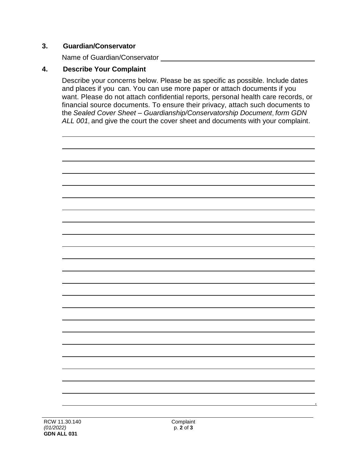#### **3. Guardian/Conservator**

Name of Guardian/Conservator

## **4. Describe Your Complaint**

Describe your concerns below. Please be as specific as possible. Include dates and places if you can. You can use more paper or attach documents if you want. Please do not attach confidential reports, personal health care records, or financial source documents. To ensure their privacy, attach such documents to the *Sealed Cover Sheet – Guardianship/Conservatorship Document*, *form GDN ALL 001*, and give the court the cover sheet and documents with your complaint.